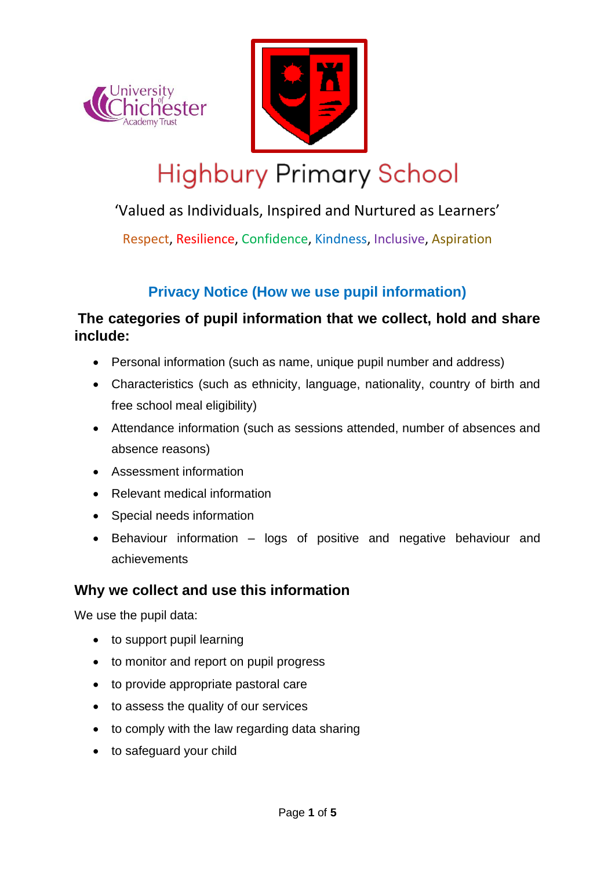



# **Highbury Primary School**

# 'Valued as Individuals, Inspired and Nurtured as Learners'

Respect, Resilience, Confidence, Kindness, Inclusive, Aspiration

# **Privacy Notice (How we use pupil information)**

# **The categories of pupil information that we collect, hold and share include:**

- Personal information (such as name, unique pupil number and address)
- Characteristics (such as ethnicity, language, nationality, country of birth and free school meal eligibility)
- Attendance information (such as sessions attended, number of absences and absence reasons)
- Assessment information
- Relevant medical information
- Special needs information
- Behaviour information logs of positive and negative behaviour and achievements

# **Why we collect and use this information**

We use the pupil data:

- to support pupil learning
- to monitor and report on pupil progress
- to provide appropriate pastoral care
- to assess the quality of our services
- to comply with the law regarding data sharing
- to safeguard your child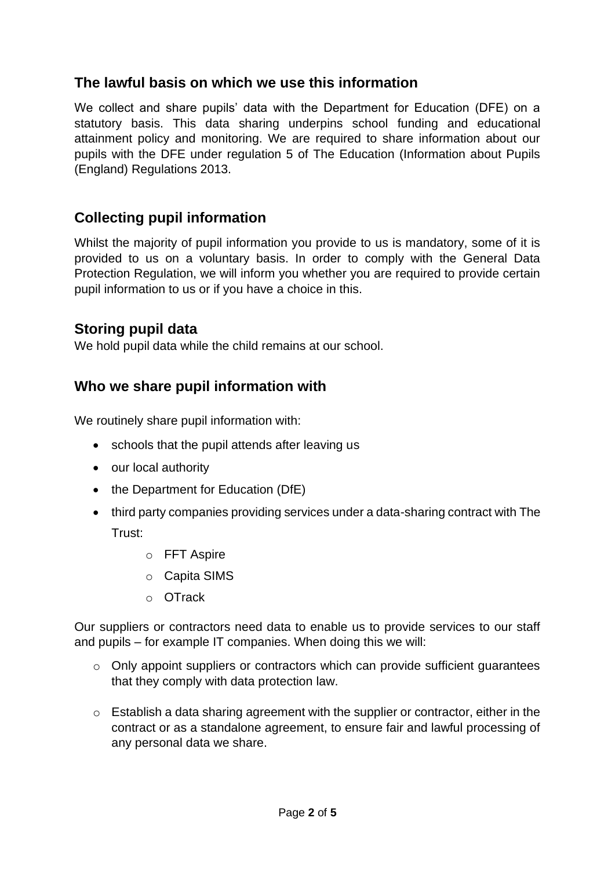## **The lawful basis on which we use this information**

We collect and share pupils' data with the Department for Education (DFE) on a statutory basis. This data sharing underpins school funding and educational attainment policy and monitoring. We are required to share information about our pupils with the DFE under regulation 5 of The Education (Information about Pupils (England) Regulations 2013.

## **Collecting pupil information**

Whilst the majority of pupil information you provide to us is mandatory, some of it is provided to us on a voluntary basis. In order to comply with the General Data Protection Regulation, we will inform you whether you are required to provide certain pupil information to us or if you have a choice in this.

#### **Storing pupil data**

We hold pupil data while the child remains at our school.

## **Who we share pupil information with**

We routinely share pupil information with:

- schools that the pupil attends after leaving us
- our local authority
- the Department for Education (DfE)
- third party companies providing services under a data-sharing contract with The Trust:
	- o FFT Aspire
	- o Capita SIMS
	- o OTrack

Our suppliers or contractors need data to enable us to provide services to our staff and pupils – for example IT companies. When doing this we will:

- o Only appoint suppliers or contractors which can provide sufficient guarantees that they comply with data protection law.
- o Establish a data sharing agreement with the supplier or contractor, either in the contract or as a standalone agreement, to ensure fair and lawful processing of any personal data we share.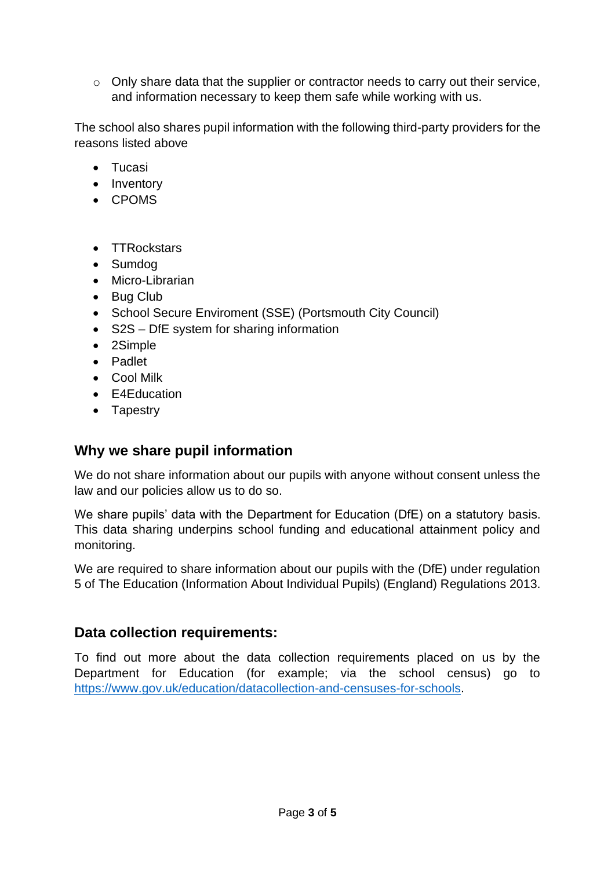o Only share data that the supplier or contractor needs to carry out their service, and information necessary to keep them safe while working with us.

The school also shares pupil information with the following third-party providers for the reasons listed above

- Tucasi
- Inventory
- CPOMS
- TTRockstars
- Sumdog
- Micro-Librarian
- Bug Club
- School Secure Enviroment (SSE) (Portsmouth City Council)
- S2S DfE system for sharing information
- 2Simple
- Padlet
- Cool Milk
- E4Education
- Tapestry

#### **Why we share pupil information**

We do not share information about our pupils with anyone without consent unless the law and our policies allow us to do so.

We share pupils' data with the Department for Education (DfE) on a statutory basis. This data sharing underpins school funding and educational attainment policy and monitoring.

We are required to share information about our pupils with the (DfE) under regulation 5 of The Education (Information About Individual Pupils) (England) Regulations 2013.

## **Data collection requirements:**

To find out more about the data collection requirements placed on us by the Department for Education (for example; via the school census) go to [https://www.gov.uk/education/datacollection-and-censuses-for-schools.](https://www.gov.uk/education/datacollection-and-censuses-for-schools)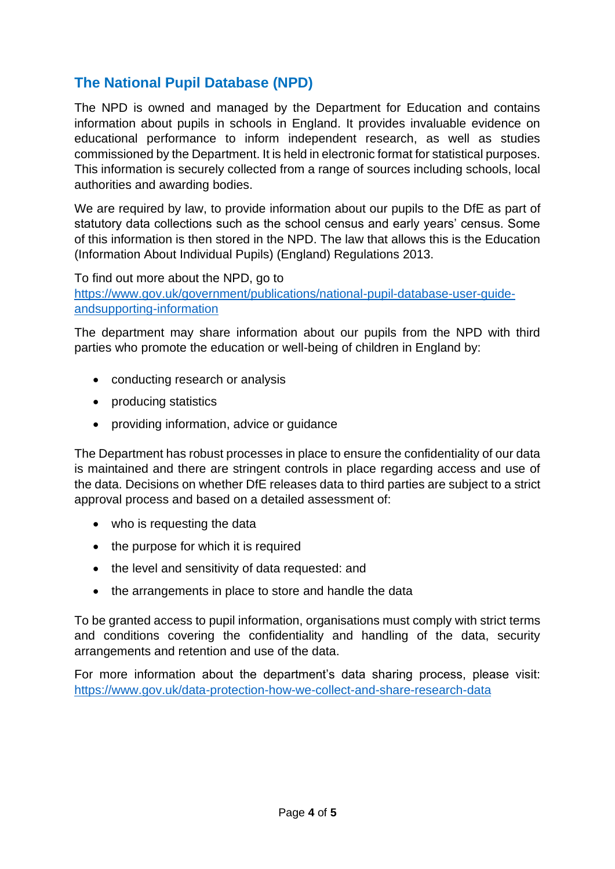# **The National Pupil Database (NPD)**

The NPD is owned and managed by the Department for Education and contains information about pupils in schools in England. It provides invaluable evidence on educational performance to inform independent research, as well as studies commissioned by the Department. It is held in electronic format for statistical purposes. This information is securely collected from a range of sources including schools, local authorities and awarding bodies.

We are required by law, to provide information about our pupils to the DfE as part of statutory data collections such as the school census and early years' census. Some of this information is then stored in the NPD. The law that allows this is the Education (Information About Individual Pupils) (England) Regulations 2013.

To find out more about the NPD, go to [https://www.gov.uk/government/publications/national-pupil-database-user-guide](https://www.gov.uk/government/publications/national-pupil-database-user-guide-andsupporting-information)[andsupporting-information](https://www.gov.uk/government/publications/national-pupil-database-user-guide-andsupporting-information)

The department may share information about our pupils from the NPD with third parties who promote the education or well-being of children in England by:

- conducting research or analysis
- producing statistics
- providing information, advice or guidance

The Department has robust processes in place to ensure the confidentiality of our data is maintained and there are stringent controls in place regarding access and use of the data. Decisions on whether DfE releases data to third parties are subject to a strict approval process and based on a detailed assessment of:

- who is requesting the data
- the purpose for which it is required
- the level and sensitivity of data requested: and
- the arrangements in place to store and handle the data

To be granted access to pupil information, organisations must comply with strict terms and conditions covering the confidentiality and handling of the data, security arrangements and retention and use of the data.

For more information about the department's data sharing process, please visit: <https://www.gov.uk/data-protection-how-we-collect-and-share-research-data>